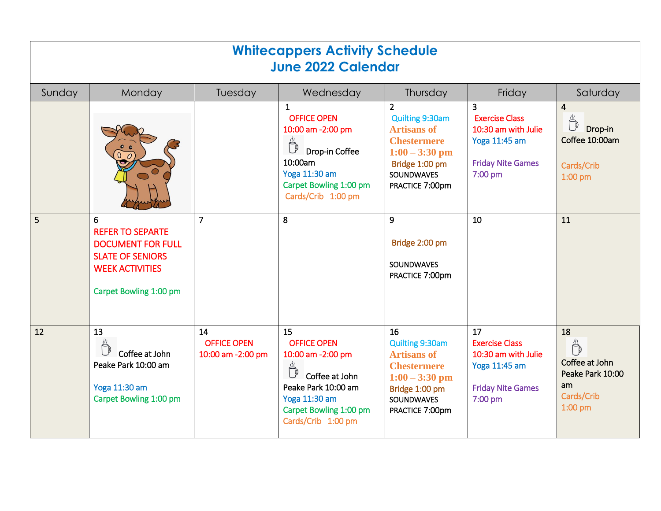| <b>Whitecappers Activity Schedule</b><br><b>June 2022 Calendar</b> |                                                                                                                                         |                                               |                                                                                                                                                         |                                                                                                                                                             |                                                                                                            |                                                                                |  |  |  |  |  |
|--------------------------------------------------------------------|-----------------------------------------------------------------------------------------------------------------------------------------|-----------------------------------------------|---------------------------------------------------------------------------------------------------------------------------------------------------------|-------------------------------------------------------------------------------------------------------------------------------------------------------------|------------------------------------------------------------------------------------------------------------|--------------------------------------------------------------------------------|--|--|--|--|--|
| Sunday                                                             | Monday                                                                                                                                  | Tuesday                                       | Wednesday                                                                                                                                               | Thursday                                                                                                                                                    | Friday                                                                                                     | Saturday                                                                       |  |  |  |  |  |
|                                                                    |                                                                                                                                         |                                               | $\mathbf{1}$<br><b>OFFICE OPEN</b><br>10:00 am -2:00 pm<br>Drop-in Coffee<br>10:00am<br>Yoga 11:30 am<br>Carpet Bowling 1:00 pm<br>Cards/Crib 1:00 pm   | $\overline{2}$<br>Quilting 9:30am<br><b>Artisans of</b><br><b>Chestermere</b><br>$1:00 - 3:30$ pm<br>Bridge 1:00 pm<br><b>SOUNDWAVES</b><br>PRACTICE 7:00pm | 3<br><b>Exercise Class</b><br>10:30 am with Julie<br>Yoga 11:45 am<br><b>Friday Nite Games</b><br>7:00 pm  | $\overline{4}$<br>Drop-in<br>Coffee 10:00am<br>Cards/Crib<br>$1:00$ pm         |  |  |  |  |  |
| 5                                                                  | 6<br><b>REFER TO SEPARTE</b><br><b>DOCUMENT FOR FULL</b><br><b>SLATE OF SENIORS</b><br><b>WEEK ACTIVITIES</b><br>Carpet Bowling 1:00 pm | $\overline{7}$                                | 8                                                                                                                                                       | 9<br>Bridge 2:00 pm<br><b>SOUNDWAVES</b><br>PRACTICE 7:00pm                                                                                                 | 10                                                                                                         | 11                                                                             |  |  |  |  |  |
| 12                                                                 | 13<br>Coffee at John<br>Peake Park 10:00 am<br>Yoga 11:30 am<br>Carpet Bowling 1:00 pm                                                  | 14<br><b>OFFICE OPEN</b><br>10:00 am -2:00 pm | 15<br><b>OFFICE OPEN</b><br>10:00 am -2:00 pm<br>Coffee at John<br>Peake Park 10:00 am<br>Yoga 11:30 am<br>Carpet Bowling 1:00 pm<br>Cards/Crib 1:00 pm | 16<br>Quilting 9:30am<br><b>Artisans of</b><br><b>Chestermere</b><br>$1:00 - 3:30$ pm<br>Bridge 1:00 pm<br><b>SOUNDWAVES</b><br>PRACTICE 7:00pm             | 17<br><b>Exercise Class</b><br>10:30 am with Julie<br>Yoga 11:45 am<br><b>Friday Nite Games</b><br>7:00 pm | 18<br>₿<br>Coffee at John<br>Peake Park 10:00<br>am<br>Cards/Crib<br>$1:00$ pm |  |  |  |  |  |